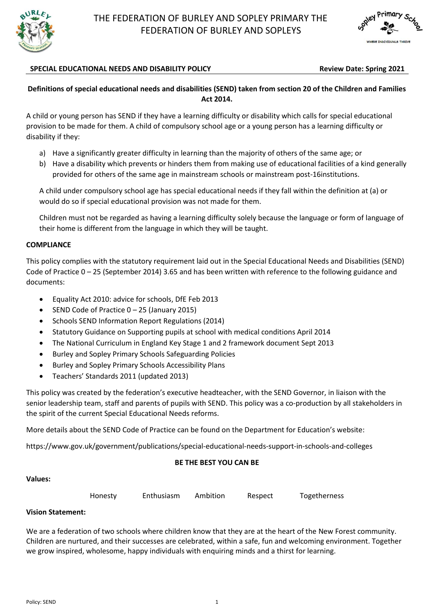



## SPECIAL EDUCATIONAL NEEDS AND DISABILITY POLICY **Review Date: Spring 2021**

## **Definitions of special educational needs and disabilities (SEND) taken from section 20 of the Children and Families Act 2014.**

A child or young person has SEND if they have a learning difficulty or disability which calls for special educational provision to be made for them. A child of compulsory school age or a young person has a learning difficulty or disability if they:

- a) Have a significantly greater difficulty in learning than the majority of others of the same age; or
- b) Have a disability which prevents or hinders them from making use of educational facilities of a kind generally provided for others of the same age in mainstream schools or mainstream post-16institutions.

A child under compulsory school age has special educational needs if they fall within the definition at (a) or would do so if special educational provision was not made for them.

Children must not be regarded as having a learning difficulty solely because the language or form of language of their home is different from the language in which they will be taught.

#### **COMPLIANCE**

This policy complies with the statutory requirement laid out in the Special Educational Needs and Disabilities (SEND) Code of Practice 0 – 25 (September 2014) 3.65 and has been written with reference to the following guidance and documents:

- Equality Act 2010: advice for schools, DfE Feb 2013
- SEND Code of Practice 0 25 (January 2015)
- Schools SEND Information Report Regulations (2014)
- Statutory Guidance on Supporting pupils at school with medical conditions April 2014
- The National Curriculum in England Key Stage 1 and 2 framework document Sept 2013
- Burley and Sopley Primary Schools Safeguarding Policies
- Burley and Sopley Primary Schools Accessibility Plans
- Teachers' Standards 2011 (updated 2013)

This policy was created by the federation's executive headteacher, with the SEND Governor, in liaison with the senior leadership team, staff and parents of pupils with SEND. This policy was a co-production by all stakeholders in the spirit of the current Special Educational Needs reforms.

More details about the SEND Code of Practice can be found on the Department for Education's website:

https://www.gov.uk/government/publications/special-educational-needs-support-in-schools-and-colleges

#### **BE THE BEST YOU CAN BE**

#### **Values:**

| Honesty | Enthusiasm | Ambition | Respect | Togetherness |
|---------|------------|----------|---------|--------------|
|         |            |          |         |              |

## **Vision Statement:**

We are a federation of two schools where children know that they are at the heart of the New Forest community. Children are nurtured, and their successes are celebrated, within a safe, fun and welcoming environment. Together we grow inspired, wholesome, happy individuals with enquiring minds and a thirst for learning.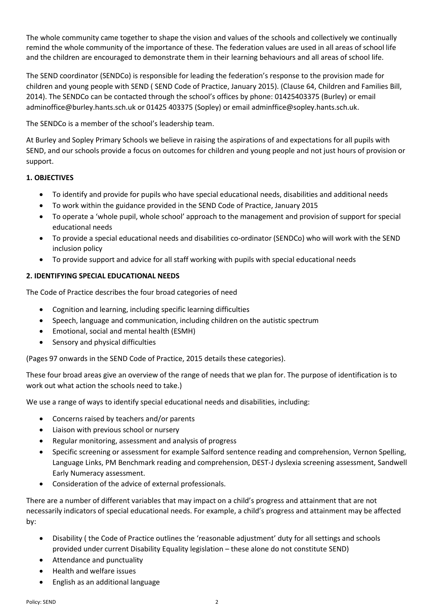The whole community came together to shape the vision and values of the schools and collectively we continually remind the whole community of the importance of these. The federation values are used in all areas of school life and the children are encouraged to demonstrate them in their learning behaviours and all areas of school life.

The SEND coordinator (SENDCo) is responsible for leading the federation's response to the provision made for children and young people with SEND ( SEND Code of Practice, January 2015). (Clause 64, Children and Families Bill, 2014). The SENDCo can be contacted through the school's offices by phone: 01425403375 (Burley) or email [adminoffice@burley.hants.sch.uk](mailto:adminoffice@burley.hants.sch.uk) or 01425 403375 (Sopley) or email adminffice@sopley.hants.sch.uk.

The SENDCo is a member of the school's leadership team.

At Burley and Sopley Primary Schools we believe in raising the aspirations of and expectations for all pupils with SEND, and our schools provide a focus on outcomes for children and young people and not just hours of provision or support.

## **1. OBJECTIVES**

- To identify and provide for pupils who have special educational needs, disabilities and additional needs
- To work within the guidance provided in the SEND Code of Practice, January 2015
- To operate a 'whole pupil, whole school' approach to the management and provision of support for special educational needs
- To provide a special educational needs and disabilities co-ordinator (SENDCo) who will work with the SEND inclusion policy
- To provide support and advice for all staff working with pupils with special educational needs

## **2. IDENTIFYING SPECIAL EDUCATIONAL NEEDS**

The Code of Practice describes the four broad categories of need

- Cognition and learning, including specific learning difficulties
- Speech, language and communication, including children on the autistic spectrum
- Emotional, social and mental health (ESMH)
- Sensory and physical difficulties

(Pages 97 onwards in the SEND Code of Practice, 2015 details these categories).

These four broad areas give an overview of the range of needs that we plan for. The purpose of identification is to work out what action the schools need to take.)

We use a range of ways to identify special educational needs and disabilities, including:

- Concerns raised by teachers and/or parents
- Liaison with previous school or nursery
- Regular monitoring, assessment and analysis of progress
- Specific screening or assessment for example Salford sentence reading and comprehension, Vernon Spelling, Language Links, PM Benchmark reading and comprehension, DEST-J dyslexia screening assessment, Sandwell Early Numeracy assessment.
- Consideration of the advice of external professionals.

There are a number of different variables that may impact on a child's progress and attainment that are not necessarily indicators of special educational needs. For example, a child's progress and attainment may be affected by:

- Disability ( the Code of Practice outlines the 'reasonable adjustment' duty for all settings and schools provided under current Disability Equality legislation – these alone do not constitute SEND)
- Attendance and punctuality
- Health and welfare issues
- English as an additional language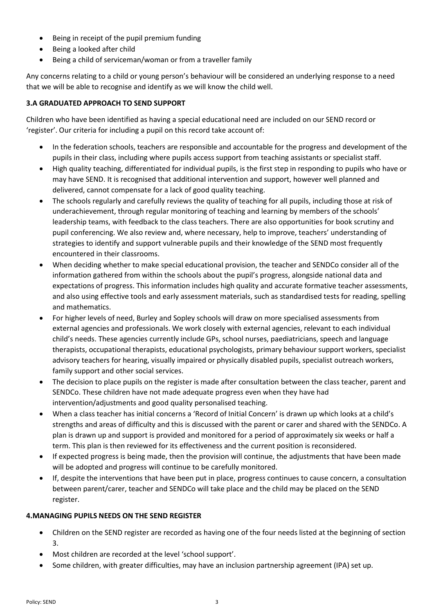- Being in receipt of the pupil premium funding
- Being a looked after child
- Being a child of serviceman/woman or from a traveller family

Any concerns relating to a child or young person's behaviour will be considered an underlying response to a need that we will be able to recognise and identify as we will know the child well.

# **3.A GRADUATED APPROACH TO SEND SUPPORT**

Children who have been identified as having a special educational need are included on our SEND record or 'register'. Our criteria for including a pupil on this record take account of:

- In the federation schools, teachers are responsible and accountable for the progress and development of the pupils in their class, including where pupils access support from teaching assistants or specialist staff.
- High quality teaching, differentiated for individual pupils, is the first step in responding to pupils who have or may have SEND. It is recognised that additional intervention and support, however well planned and delivered, cannot compensate for a lack of good quality teaching.
- The schools regularly and carefully reviews the quality of teaching for all pupils, including those at risk of underachievement, through regular monitoring of teaching and learning by members of the schools' leadership teams, with feedback to the class teachers. There are also opportunities for book scrutiny and pupil conferencing. We also review and, where necessary, help to improve, teachers' understanding of strategies to identify and support vulnerable pupils and their knowledge of the SEND most frequently encountered in their classrooms.
- When deciding whether to make special educational provision, the teacher and SENDCo consider all of the information gathered from within the schools about the pupil's progress, alongside national data and expectations of progress. This information includes high quality and accurate formative teacher assessments, and also using effective tools and early assessment materials, such as standardised tests for reading, spelling and mathematics.
- For higher levels of need, Burley and Sopley schools will draw on more specialised assessments from external agencies and professionals. We work closely with external agencies, relevant to each individual child's needs. These agencies currently include GPs, school nurses, paediatricians, speech and language therapists, occupational therapists, educational psychologists, primary behaviour support workers, specialist advisory teachers for hearing, visually impaired or physically disabled pupils, specialist outreach workers, family support and other social services.
- The decision to place pupils on the register is made after consultation between the class teacher, parent and SENDCo. These children have not made adequate progress even when they have had intervention/adjustments and good quality personalised teaching.
- When a class teacher has initial concerns a 'Record of Initial Concern' is drawn up which looks at a child's strengths and areas of difficulty and this is discussed with the parent or carer and shared with the SENDCo. A plan is drawn up and support is provided and monitored for a period of approximately six weeks or half a term. This plan is then reviewed for its effectiveness and the current position is reconsidered.
- If expected progress is being made, then the provision will continue, the adjustments that have been made will be adopted and progress will continue to be carefully monitored.
- If, despite the interventions that have been put in place, progress continues to cause concern, a consultation between parent/carer, teacher and SENDCo will take place and the child may be placed on the SEND register.

# **4.MANAGING PUPILS NEEDS ON THE SEND REGISTER**

- Children on the SEND register are recorded as having one of the four needs listed at the beginning of section 3.
- Most children are recorded at the level 'school support'.
- Some children, with greater difficulties, may have an inclusion partnership agreement (IPA) set up.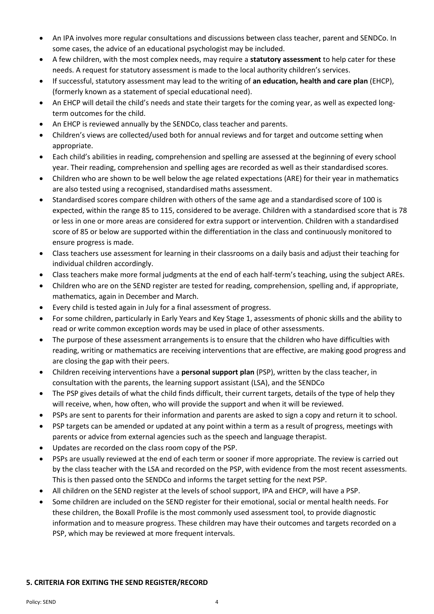- An IPA involves more regular consultations and discussions between class teacher, parent and SENDCo. In some cases, the advice of an educational psychologist may be included.
- A few children, with the most complex needs, may require a **statutory assessment** to help cater for these needs. A request for statutory assessment is made to the local authority children's services.
- If successful, statutory assessment may lead to the writing of **an education, health and care plan** (EHCP), (formerly known as a statement of special educational need).
- An EHCP will detail the child's needs and state their targets for the coming year, as well as expected longterm outcomes for the child.
- An EHCP is reviewed annually by the SENDCo, class teacher and parents.
- Children's views are collected/used both for annual reviews and for target and outcome setting when appropriate.
- Each child's abilities in reading, comprehension and spelling are assessed at the beginning of every school year. Their reading, comprehension and spelling ages are recorded as well as their standardised scores.
- Children who are shown to be well below the age related expectations (ARE) for their year in mathematics are also tested using a recognised, standardised maths assessment.
- Standardised scores compare children with others of the same age and a standardised score of 100 is expected, within the range 85 to 115, considered to be average. Children with a standardised score that is 78 or less in one or more areas are considered for extra support or intervention. Children with a standardised score of 85 or below are supported within the differentiation in the class and continuously monitored to ensure progress is made.
- Class teachers use assessment for learning in their classrooms on a daily basis and adjust their teaching for individual children accordingly.
- Class teachers make more formal judgments at the end of each half-term's teaching, using the subject AREs.
- Children who are on the SEND register are tested for reading, comprehension, spelling and, if appropriate, mathematics, again in December and March.
- Every child is tested again in July for a final assessment of progress.
- For some children, particularly in Early Years and Key Stage 1, assessments of phonic skills and the ability to read or write common exception words may be used in place of other assessments.
- The purpose of these assessment arrangements is to ensure that the children who have difficulties with reading, writing or mathematics are receiving interventions that are effective, are making good progress and are closing the gap with their peers.
- Children receiving interventions have a **personal support plan** (PSP), written by the class teacher, in consultation with the parents, the learning support assistant (LSA), and the SENDCo
- The PSP gives details of what the child finds difficult, their current targets, details of the type of help they will receive, when, how often, who will provide the support and when it will be reviewed.
- PSPs are sent to parents for their information and parents are asked to sign a copy and return it to school.
- PSP targets can be amended or updated at any point within a term as a result of progress, meetings with parents or advice from external agencies such as the speech and language therapist.
- Updates are recorded on the class room copy of the PSP.
- PSPs are usually reviewed at the end of each term or sooner if more appropriate. The review is carried out by the class teacher with the LSA and recorded on the PSP, with evidence from the most recent assessments. This is then passed onto the SENDCo and informs the target setting for the next PSP.
- All children on the SEND register at the levels of school support, IPA and EHCP, will have a PSP.
- Some children are included on the SEND register for their emotional, social or mental health needs. For these children, the Boxall Profile is the most commonly used assessment tool, to provide diagnostic information and to measure progress. These children may have their outcomes and targets recorded on a PSP, which may be reviewed at more frequent intervals.

#### **5. CRITERIA FOR EXITING THE SEND REGISTER/RECORD**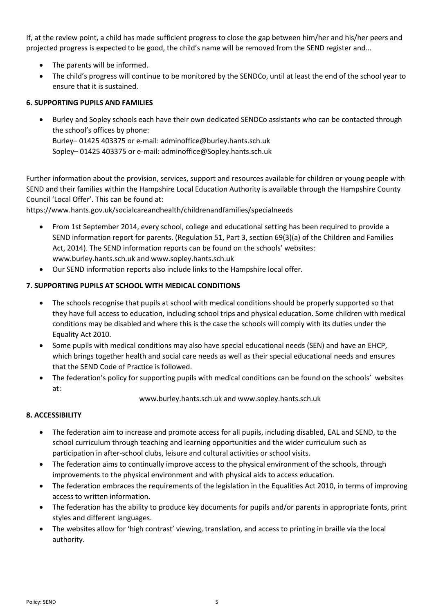If, at the review point, a child has made sufficient progress to close the gap between him/her and his/her peers and projected progress is expected to be good, the child's name will be removed from the SEND register and...

- The parents will be informed.
- The child's progress will continue to be monitored by the SENDCo, until at least the end of the school year to ensure that it is sustained.

#### **6. SUPPORTING PUPILS AND FAMILIES**

 Burley and Sopley schools each have their own dedicated SENDCo assistants who can be contacted through the school's offices by phone: Burley– 01425 403375 or e-mail[: adminoffice@burley.hants.sch.uk](mailto:adminoffice@burley.hants.sch.uk) Sopley– 01425 403375 or e-mail: [adminoffice@Sopley.hants.sch.uk](mailto:adminoffice@burley.hants.sch.uk)

Further information about the provision, services, support and resources available for children or young people with SEND and their families within the Hampshire Local Education Authority is available through the Hampshire County Council 'Local Offer'. This can be found at:

https://www.hants.gov.uk/socialcareandhealth/childrenandfamilies/specialneeds

- From 1st September 2014, every school, college and educational setting has been required to provide a SEND information report for parents. (Regulation 51, Part 3, section 69(3)(a) of the Children and Families Act, 2014). The SEND information reports can be found on the schools' websites: [www.burley.hants.sch.uk](http://www.burley.hants.sch.uk/) and www.sopley.hants.sch.uk
- Our SEND information reports also include links to the Hampshire local offer.

## **7. SUPPORTING PUPILS AT SCHOOL WITH MEDICAL CONDITIONS**

- The schools recognise that pupils at school with medical conditions should be properly supported so that they have full access to education, including school trips and physical education. Some children with medical conditions may be disabled and where this is the case the schools will comply with its duties under the Equality Act 2010.
- Some pupils with medical conditions may also have special educational needs (SEN) and have an EHCP, which brings together health and social care needs as well as their special educational needs and ensures that the SEND Code of Practice is followed.
- The federation's policy for supporting pupils with medical conditions can be found on the schools' websites at:

[www.burley.hants.sch.uk](http://www.burley.hants.sch.uk/) and www.sopley.hants.sch.uk

#### **8. ACCESSIBILITY**

- The federation aim to increase and promote access for all pupils, including disabled, EAL and SEND, to the school curriculum through teaching and learning opportunities and the wider curriculum such as participation in after-school clubs, leisure and cultural activities or school visits.
- The federation aims to continually improve access to the physical environment of the schools, through improvements to the physical environment and with physical aids to access education.
- The federation embraces the requirements of the legislation in the Equalities Act 2010, in terms of improving access to written information.
- The federation has the ability to produce key documents for pupils and/or parents in appropriate fonts, print styles and different languages.
- The websites allow for 'high contrast' viewing, translation, and access to printing in braille via the local authority.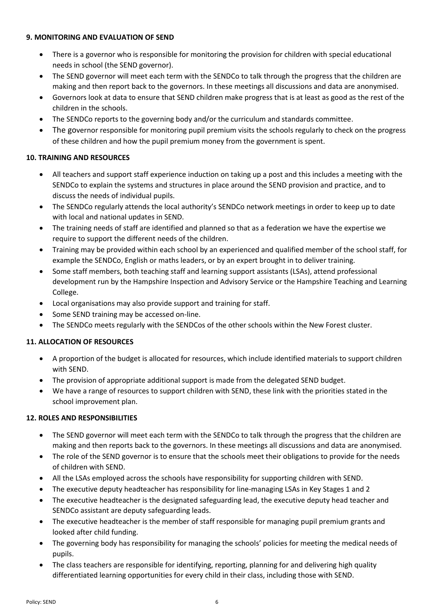#### **9. MONITORING AND EVALUATION OF SEND**

- There is a governor who is responsible for monitoring the provision for children with special educational needs in school (the SEND governor).
- The SEND governor will meet each term with the SENDCo to talk through the progress that the children are making and then report back to the governors. In these meetings all discussions and data are anonymised.
- Governors look at data to ensure that SEND children make progress that is at least as good as the rest of the children in the schools.
- The SENDCo reports to the governing body and/or the curriculum and standards committee.
- The governor responsible for monitoring pupil premium visits the schools regularly to check on the progress of these children and how the pupil premium money from the government is spent.

## **10. TRAINING AND RESOURCES**

- All teachers and support staff experience induction on taking up a post and this includes a meeting with the SENDCo to explain the systems and structures in place around the SEND provision and practice, and to discuss the needs of individual pupils.
- The SENDCo regularly attends the local authority's SENDCo network meetings in order to keep up to date with local and national updates in SEND.
- The training needs of staff are identified and planned so that as a federation we have the expertise we require to support the different needs of the children.
- Training may be provided within each school by an experienced and qualified member of the school staff, for example the SENDCo, English or maths leaders, or by an expert brought in to deliver training.
- Some staff members, both teaching staff and learning support assistants (LSAs), attend professional development run by the Hampshire Inspection and Advisory Service or the Hampshire Teaching and Learning College.
- Local organisations may also provide support and training for staff.
- Some SEND training may be accessed on-line.
- The SENDCo meets regularly with the SENDCos of the other schools within the New Forest cluster.

# **11. ALLOCATION OF RESOURCES**

- A proportion of the budget is allocated for resources, which include identified materials to support children with SEND.
- The provision of appropriate additional support is made from the delegated SEND budget.
- We have a range of resources to support children with SEND, these link with the priorities stated in the school improvement plan.

## **12. ROLES AND RESPONSIBILITIES**

- The SEND governor will meet each term with the SENDCo to talk through the progress that the children are making and then reports back to the governors. In these meetings all discussions and data are anonymised.
- The role of the SEND governor is to ensure that the schools meet their obligations to provide for the needs of children with SEND.
- All the LSAs employed across the schools have responsibility for supporting children with SEND.
- The executive deputy headteacher has responsibility for line-managing LSAs in Key Stages 1 and 2
- The executive headteacher is the designated safeguarding lead, the executive deputy head teacher and SENDCo assistant are deputy safeguarding leads.
- The executive headteacher is the member of staff responsible for managing pupil premium grants and looked after child funding.
- The governing body has responsibility for managing the schools' policies for meeting the medical needs of pupils.
- The class teachers are responsible for identifying, reporting, planning for and delivering high quality differentiated learning opportunities for every child in their class, including those with SEND.